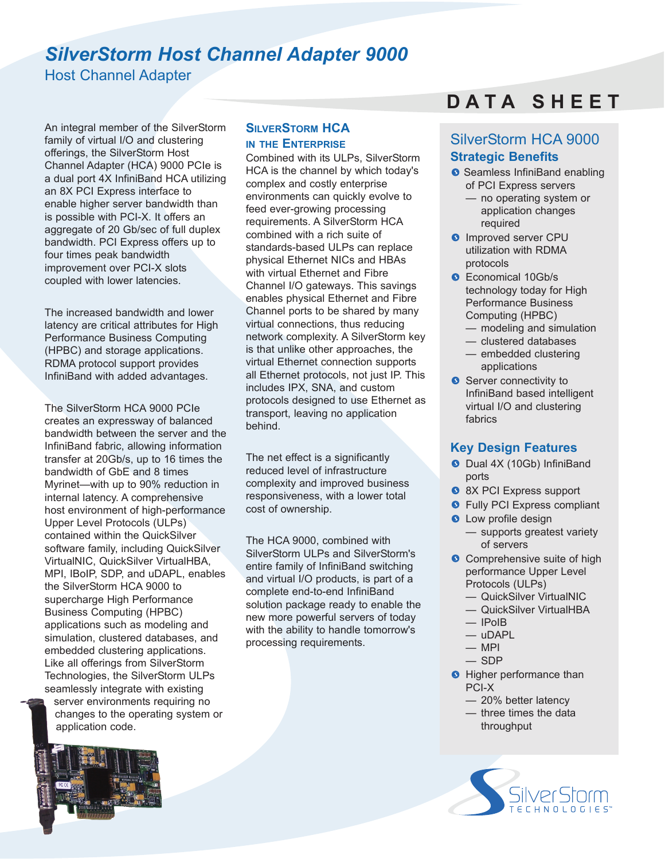# *SilverStorm Host Channel Adapter 9000*

Host Channel Adapter

An integral member of the SilverStorm family of virtual I/O and clustering offerings, the SilverStorm Host Channel Adapter (HCA) 9000 PCIe is a dual port 4X InfiniBand HCA utilizing an 8X PCI Express interface to enable higher server bandwidth than is possible with PCI-X. It offers an aggregate of 20 Gb/sec of full duplex bandwidth. PCI Express offers up to four times peak bandwidth improvement over PCI-X slots coupled with lower latencies.

The increased bandwidth and lower latency are critical attributes for High Performance Business Computing (HPBC) and storage applications. RDMA protocol support provides InfiniBand with added advantages.

The SilverStorm HCA 9000 PCIe creates an expressway of balanced bandwidth between the server and the InfiniBand fabric, allowing information transfer at 20Gb/s, up to 16 times the bandwidth of GbE and 8 times Myrinet—with up to 90% reduction in internal latency. A comprehensive host environment of high-performance Upper Level Protocols (ULPs) contained within the QuickSilver software family, including QuickSilver VirtualNIC, QuickSilver VirtualHBA, MPI, IBoIP, SDP, and uDAPL, enables the SilverStorm HCA 9000 to supercharge High Performance Business Computing (HPBC) applications such as modeling and simulation, clustered databases, and embedded clustering applications. Like all offerings from SilverStorm Technologies, the SilverStorm ULPs seamlessly integrate with existing

server environments requiring no changes to the operating system or application code.



# **SILVERSTORM HCA IN THE ENTERPRISE**

Combined with its ULPs, SilverStorm HCA is the channel by which today's complex and costly enterprise environments can quickly evolve to feed ever-growing processing requirements. A SilverStorm HCA combined with a rich suite of standards-based ULPs can replace physical Ethernet NICs and HBAs with virtual Ethernet and Fibre Channel I/O gateways. This savings enables physical Ethernet and Fibre Channel ports to be shared by many virtual connections, thus reducing network complexity. A SilverStorm key is that unlike other approaches, the virtual Ethernet connection supports all Ethernet protocols, not just IP. This includes IPX, SNA, and custom protocols designed to use Ethernet as transport, leaving no application behind.

The net effect is a significantly reduced level of infrastructure complexity and improved business responsiveness, with a lower total cost of ownership.

The HCA 9000, combined with SilverStorm ULPs and SilverStorm's entire family of InfiniBand switching and virtual I/O products, is part of a complete end-to-end InfiniBand solution package ready to enable the new more powerful servers of today with the ability to handle tomorrow's processing requirements.

# **D A T A S H E E T**

# SilverStorm HCA 9000 **Strategic Benefits**

- **Seamless InfiniBand enabling** of PCI Express servers
	- no operating system or application changes required
- **O** Improved server CPU utilization with RDMA protocols
- **C** Economical 10Gb/s technology today for High Performance Business Computing (HPBC)
	- modeling and simulation
	- clustered databases
	- embedded clustering applications
- Server connectivity to InfiniBand based intelligent virtual I/O and clustering fabrics

# **Key Design Features**

- Dual 4X (10Gb) InfiniBand ports
- 8X PCI Express support
- **•** Fully PCI Express compliant
- **Q** Low profile design — supports greatest variety of servers
- **Comprehensive suite of high** performance Upper Level Protocols (ULPs)
	- QuickSilver VirtualNIC
	- QuickSilver VirtualHBA
	- IPoIB
	- uDAPL
	- $-$  MPI
	- SDP
- **•** Higher performance than PCI-X
	- 20% better latency
	- three times the data throughput